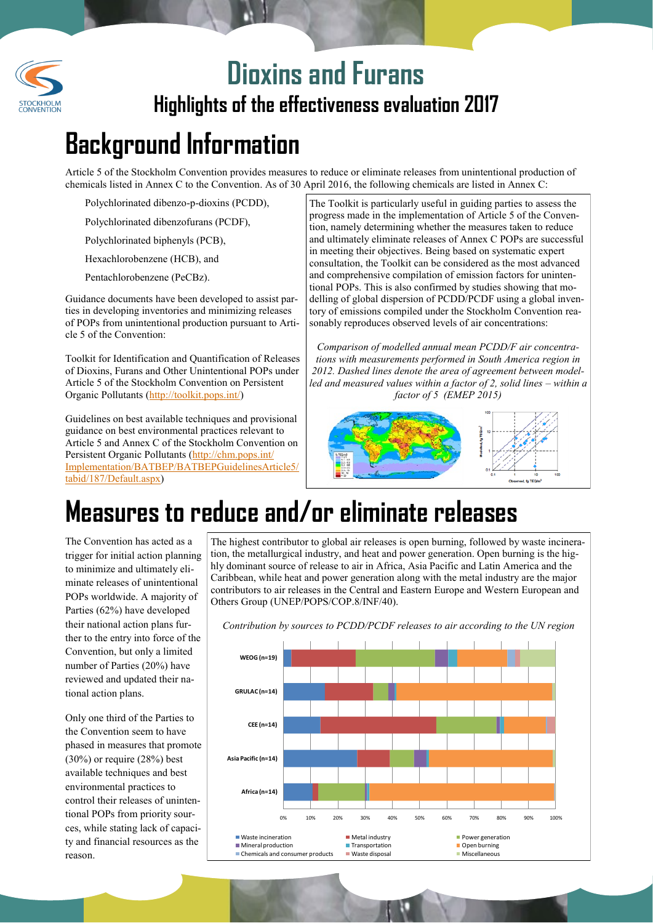

### **Highlights of the effectiveness evaluation 2017 Dioxins and Furans**

# **Background Information**

Article 5 of the Stockholm Convention provides measures to reduce or eliminate releases from unintentional production of chemicals listed in Annex C to the Convention. As of 30 April 2016, the following chemicals are listed in Annex C:

Polychlorinated dibenzo-p-dioxins (PCDD),

Polychlorinated dibenzofurans (PCDF),

Polychlorinated biphenyls (PCB),

Hexachlorobenzene (HCB), and

Pentachlorobenzene (PeCBz).

Guidance documents have been developed to assist parties in developing inventories and minimizing releases of POPs from unintentional production pursuant to Article 5 of the Convention:

Toolkit for Identification and Quantification of Releases of Dioxins, Furans and Other Unintentional POPs under Article 5 of the Stockholm Convention on Persistent Organic Pollutants [\(http://toolkit.pops.int/\)](http://toolkit.pops.int/)

Guidelines on best available techniques and provisional guidance on best environmental practices relevant to Article 5 and Annex C of the Stockholm Convention on Persistent Organic Pollutants [\(http://chm.pops.int/](http://chm.pops.int/Implementation/BATBEP/BATBEPGuidelinesArticle5/tabid/187/Default.aspx) [Implementation/BATBEP/BATBEPGuidelinesArticle5/](http://chm.pops.int/Implementation/BATBEP/BATBEPGuidelinesArticle5/tabid/187/Default.aspx) [tabid/187/Default.aspx\)](http://chm.pops.int/Implementation/BATBEP/BATBEPGuidelinesArticle5/tabid/187/Default.aspx)

The Toolkit is particularly useful in guiding parties to assess the progress made in the implementation of Article 5 of the Convention, namely determining whether the measures taken to reduce and ultimately eliminate releases of Annex C POPs are successful in meeting their objectives. Being based on systematic expert consultation, the Toolkit can be considered as the most advanced and comprehensive compilation of emission factors for unintentional POPs. This is also confirmed by studies showing that modelling of global dispersion of PCDD/PCDF using a global inventory of emissions compiled under the Stockholm Convention reasonably reproduces observed levels of air concentrations:

*Comparison of modelled annual mean PCDD/F air concentrations with measurements performed in South America region in 2012. Dashed lines denote the area of agreement between modelled and measured values within a factor of 2, solid lines – within a factor of 5 (EMEP 2015)*



# **Measures to reduce and/or eliminate releases**

The Convention has acted as a trigger for initial action planning to minimize and ultimately eliminate releases of unintentional POPs worldwide. A majority of Parties (62%) have developed their national action plans further to the entry into force of the Convention, but only a limited number of Parties (20%) have reviewed and updated their national action plans.

Only one third of the Parties to the Convention seem to have phased in measures that promote (30%) or require (28%) best available techniques and best environmental practices to control their releases of unintentional POPs from priority sources, while stating lack of capacity and financial resources as the reason.

The highest contributor to global air releases is open burning, followed by waste incineration, the metallurgical industry, and heat and power generation. Open burning is the highly dominant source of release to air in Africa, Asia Pacific and Latin America and the Caribbean, while heat and power generation along with the metal industry are the major contributors to air releases in the Central and Eastern Europe and Western European and Others Group (UNEP/POPS/COP.8/INF/40).



*Contribution by sources to PCDD/PCDF releases to air according to the UN region*